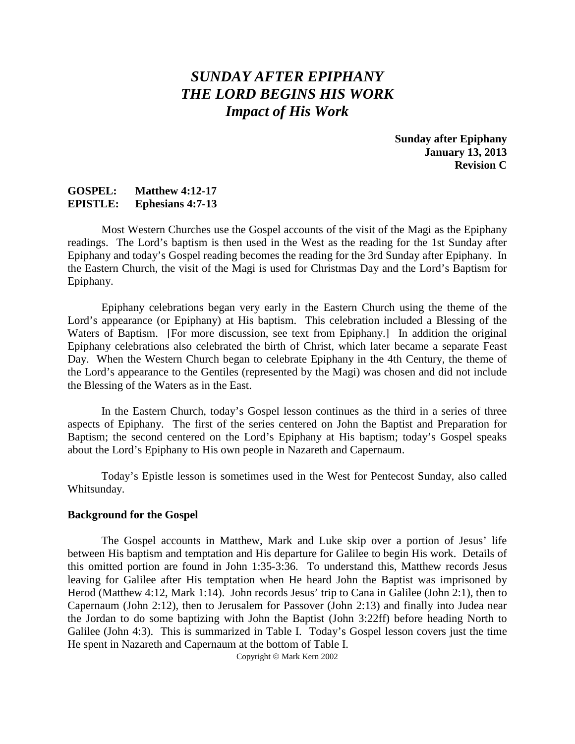# *SUNDAY AFTER EPIPHANY THE LORD BEGINS HIS WORK Impact of His Work*

**Sunday after Epiphany January 13, 2013 Revision C**

### **GOSPEL: Matthew 4:12-17 EPISTLE: Ephesians 4:7-13**

Most Western Churches use the Gospel accounts of the visit of the Magi as the Epiphany readings. The Lord's baptism is then used in the West as the reading for the 1st Sunday after Epiphany and today's Gospel reading becomes the reading for the 3rd Sunday after Epiphany. In the Eastern Church, the visit of the Magi is used for Christmas Day and the Lord's Baptism for Epiphany.

Epiphany celebrations began very early in the Eastern Church using the theme of the Lord's appearance (or Epiphany) at His baptism. This celebration included a Blessing of the Waters of Baptism. [For more discussion, see text from Epiphany.] In addition the original Epiphany celebrations also celebrated the birth of Christ, which later became a separate Feast Day. When the Western Church began to celebrate Epiphany in the 4th Century, the theme of the Lord's appearance to the Gentiles (represented by the Magi) was chosen and did not include the Blessing of the Waters as in the East.

In the Eastern Church, today's Gospel lesson continues as the third in a series of three aspects of Epiphany. The first of the series centered on John the Baptist and Preparation for Baptism; the second centered on the Lord's Epiphany at His baptism; today's Gospel speaks about the Lord's Epiphany to His own people in Nazareth and Capernaum.

Today's Epistle lesson is sometimes used in the West for Pentecost Sunday, also called Whitsunday.

#### **Background for the Gospel**

The Gospel accounts in Matthew, Mark and Luke skip over a portion of Jesus' life between His baptism and temptation and His departure for Galilee to begin His work. Details of this omitted portion are found in John 1:35-3:36. To understand this, Matthew records Jesus leaving for Galilee after His temptation when He heard John the Baptist was imprisoned by Herod (Matthew 4:12, Mark 1:14). John records Jesus' trip to Cana in Galilee (John 2:1), then to Capernaum (John 2:12), then to Jerusalem for Passover (John 2:13) and finally into Judea near the Jordan to do some baptizing with John the Baptist (John 3:22ff) before heading North to Galilee (John 4:3). This is summarized in Table I. Today's Gospel lesson covers just the time He spent in Nazareth and Capernaum at the bottom of Table I.

Copyright  $\circ$  Mark Kern 2002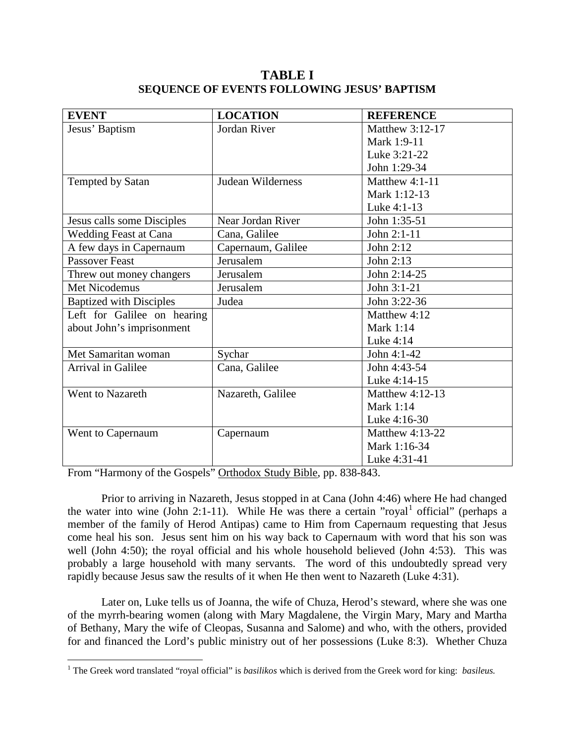## **TABLE I SEQUENCE OF EVENTS FOLLOWING JESUS' BAPTISM**

| <b>EVENT</b>                   | <b>LOCATION</b>    | <b>REFERENCE</b> |
|--------------------------------|--------------------|------------------|
| Jesus' Baptism                 | Jordan River       | Matthew 3:12-17  |
|                                |                    | Mark 1:9-11      |
|                                |                    | Luke 3:21-22     |
|                                |                    | John 1:29-34     |
| Tempted by Satan               | Judean Wilderness  | Matthew $4:1-11$ |
|                                |                    | Mark 1:12-13     |
|                                |                    | Luke 4:1-13      |
| Jesus calls some Disciples     | Near Jordan River  | John 1:35-51     |
| <b>Wedding Feast at Cana</b>   | Cana, Galilee      | John 2:1-11      |
| A few days in Capernaum        | Capernaum, Galilee | John 2:12        |
| <b>Passover Feast</b>          | Jerusalem          | John 2:13        |
| Threw out money changers       | Jerusalem          | John 2:14-25     |
| Met Nicodemus                  | Jerusalem          | John 3:1-21      |
| <b>Baptized with Disciples</b> | Judea              | John 3:22-36     |
| Left for Galilee on hearing    |                    | Matthew 4:12     |
| about John's imprisonment      |                    | <b>Mark 1:14</b> |
|                                |                    | Luke 4:14        |
| Met Samaritan woman            | Sychar             | John 4:1-42      |
| <b>Arrival in Galilee</b>      | Cana, Galilee      | John 4:43-54     |
|                                |                    | Luke 4:14-15     |
| Went to Nazareth               | Nazareth, Galilee  | Matthew 4:12-13  |
|                                |                    | <b>Mark 1:14</b> |
|                                |                    | Luke 4:16-30     |
| Went to Capernaum              | Capernaum          | Matthew 4:13-22  |
|                                |                    | Mark 1:16-34     |
|                                |                    | Luke 4:31-41     |

From "Harmony of the Gospels" Orthodox Study Bible, pp. 838-843.

 $\overline{a}$ 

Prior to arriving in Nazareth, Jesus stopped in at Cana (John 4:46) where He had changed the water into wine (John 2:[1](#page-1-0)-11). While He was there a certain "royal<sup>1</sup> official" (perhaps a member of the family of Herod Antipas) came to Him from Capernaum requesting that Jesus come heal his son. Jesus sent him on his way back to Capernaum with word that his son was well (John 4:50); the royal official and his whole household believed (John 4:53). This was probably a large household with many servants. The word of this undoubtedly spread very rapidly because Jesus saw the results of it when He then went to Nazareth (Luke 4:31).

Later on, Luke tells us of Joanna, the wife of Chuza, Herod's steward, where she was one of the myrrh-bearing women (along with Mary Magdalene, the Virgin Mary, Mary and Martha of Bethany, Mary the wife of Cleopas, Susanna and Salome) and who, with the others, provided for and financed the Lord's public ministry out of her possessions (Luke 8:3). Whether Chuza

<span id="page-1-0"></span><sup>1</sup> The Greek word translated "royal official" is *basilikos* which is derived from the Greek word for king: *basileus.*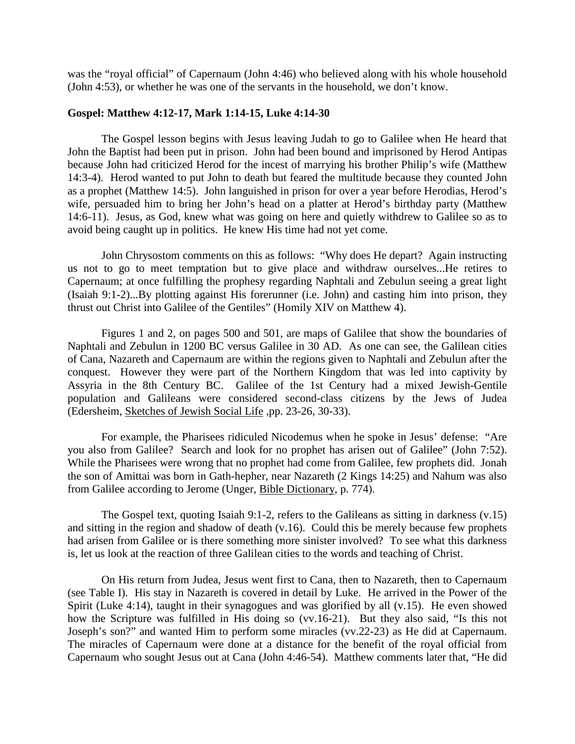was the "royal official" of Capernaum (John 4:46) who believed along with his whole household (John 4:53), or whether he was one of the servants in the household, we don't know.

#### **Gospel: Matthew 4:12-17, Mark 1:14-15, Luke 4:14-30**

The Gospel lesson begins with Jesus leaving Judah to go to Galilee when He heard that John the Baptist had been put in prison. John had been bound and imprisoned by Herod Antipas because John had criticized Herod for the incest of marrying his brother Philip's wife (Matthew 14:3-4). Herod wanted to put John to death but feared the multitude because they counted John as a prophet (Matthew 14:5). John languished in prison for over a year before Herodias, Herod's wife, persuaded him to bring her John's head on a platter at Herod's birthday party (Matthew 14:6-11). Jesus, as God, knew what was going on here and quietly withdrew to Galilee so as to avoid being caught up in politics. He knew His time had not yet come.

John Chrysostom comments on this as follows: "Why does He depart? Again instructing us not to go to meet temptation but to give place and withdraw ourselves...He retires to Capernaum; at once fulfilling the prophesy regarding Naphtali and Zebulun seeing a great light (Isaiah 9:1-2)...By plotting against His forerunner (i.e. John) and casting him into prison, they thrust out Christ into Galilee of the Gentiles" (Homily XIV on Matthew 4).

Figures 1 and 2, on pages 500 and 501, are maps of Galilee that show the boundaries of Naphtali and Zebulun in 1200 BC versus Galilee in 30 AD. As one can see, the Galilean cities of Cana, Nazareth and Capernaum are within the regions given to Naphtali and Zebulun after the conquest. However they were part of the Northern Kingdom that was led into captivity by Assyria in the 8th Century BC. Galilee of the 1st Century had a mixed Jewish-Gentile population and Galileans were considered second-class citizens by the Jews of Judea (Edersheim, Sketches of Jewish Social Life ,pp. 23-26, 30-33).

For example, the Pharisees ridiculed Nicodemus when he spoke in Jesus' defense: "Are you also from Galilee? Search and look for no prophet has arisen out of Galilee" (John 7:52). While the Pharisees were wrong that no prophet had come from Galilee, few prophets did. Jonah the son of Amittai was born in Gath-hepher, near Nazareth (2 Kings 14:25) and Nahum was also from Galilee according to Jerome (Unger, Bible Dictionary, p. 774).

The Gospel text, quoting Isaiah 9:1-2, refers to the Galileans as sitting in darkness (v.15) and sitting in the region and shadow of death (v.16). Could this be merely because few prophets had arisen from Galilee or is there something more sinister involved? To see what this darkness is, let us look at the reaction of three Galilean cities to the words and teaching of Christ.

On His return from Judea, Jesus went first to Cana, then to Nazareth, then to Capernaum (see Table I). His stay in Nazareth is covered in detail by Luke. He arrived in the Power of the Spirit (Luke 4:14), taught in their synagogues and was glorified by all (v.15). He even showed how the Scripture was fulfilled in His doing so (vv.16-21). But they also said, "Is this not Joseph's son?" and wanted Him to perform some miracles (vv.22-23) as He did at Capernaum. The miracles of Capernaum were done at a distance for the benefit of the royal official from Capernaum who sought Jesus out at Cana (John 4:46-54). Matthew comments later that, "He did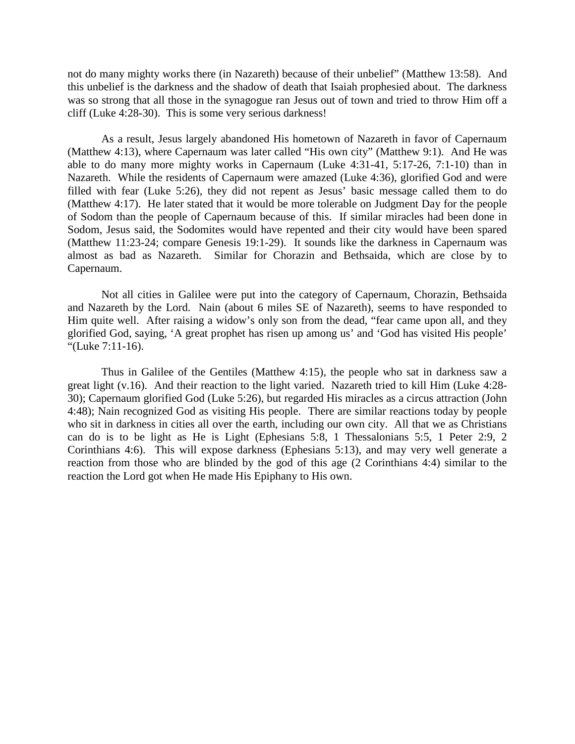not do many mighty works there (in Nazareth) because of their unbelief" (Matthew 13:58). And this unbelief is the darkness and the shadow of death that Isaiah prophesied about. The darkness was so strong that all those in the synagogue ran Jesus out of town and tried to throw Him off a cliff (Luke 4:28-30). This is some very serious darkness!

As a result, Jesus largely abandoned His hometown of Nazareth in favor of Capernaum (Matthew 4:13), where Capernaum was later called "His own city" (Matthew 9:1). And He was able to do many more mighty works in Capernaum (Luke 4:31-41, 5:17-26, 7:1-10) than in Nazareth. While the residents of Capernaum were amazed (Luke 4:36), glorified God and were filled with fear (Luke 5:26), they did not repent as Jesus' basic message called them to do (Matthew 4:17). He later stated that it would be more tolerable on Judgment Day for the people of Sodom than the people of Capernaum because of this. If similar miracles had been done in Sodom, Jesus said, the Sodomites would have repented and their city would have been spared (Matthew 11:23-24; compare Genesis 19:1-29). It sounds like the darkness in Capernaum was almost as bad as Nazareth. Similar for Chorazin and Bethsaida, which are close by to Capernaum.

Not all cities in Galilee were put into the category of Capernaum, Chorazin, Bethsaida and Nazareth by the Lord. Nain (about 6 miles SE of Nazareth), seems to have responded to Him quite well. After raising a widow's only son from the dead, "fear came upon all, and they glorified God, saying, 'A great prophet has risen up among us' and 'God has visited His people' "(Luke 7:11-16).

Thus in Galilee of the Gentiles (Matthew 4:15), the people who sat in darkness saw a great light (v.16). And their reaction to the light varied. Nazareth tried to kill Him (Luke 4:28- 30); Capernaum glorified God (Luke 5:26), but regarded His miracles as a circus attraction (John 4:48); Nain recognized God as visiting His people. There are similar reactions today by people who sit in darkness in cities all over the earth, including our own city. All that we as Christians can do is to be light as He is Light (Ephesians 5:8, 1 Thessalonians 5:5, 1 Peter 2:9, 2 Corinthians 4:6). This will expose darkness (Ephesians 5:13), and may very well generate a reaction from those who are blinded by the god of this age (2 Corinthians 4:4) similar to the reaction the Lord got when He made His Epiphany to His own.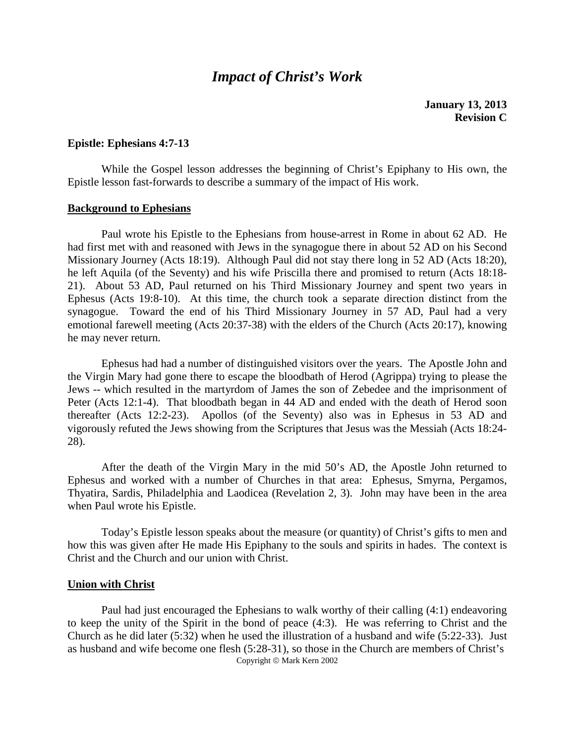## *Impact of Christ's Work*

**January 13, 2013 Revision C**

#### **Epistle: Ephesians 4:7-13**

While the Gospel lesson addresses the beginning of Christ's Epiphany to His own, the Epistle lesson fast-forwards to describe a summary of the impact of His work.

#### **Background to Ephesians**

Paul wrote his Epistle to the Ephesians from house-arrest in Rome in about 62 AD. He had first met with and reasoned with Jews in the synagogue there in about 52 AD on his Second Missionary Journey (Acts 18:19). Although Paul did not stay there long in 52 AD (Acts 18:20), he left Aquila (of the Seventy) and his wife Priscilla there and promised to return (Acts 18:18- 21). About 53 AD, Paul returned on his Third Missionary Journey and spent two years in Ephesus (Acts 19:8-10). At this time, the church took a separate direction distinct from the synagogue. Toward the end of his Third Missionary Journey in 57 AD, Paul had a very emotional farewell meeting (Acts 20:37-38) with the elders of the Church (Acts 20:17), knowing he may never return.

Ephesus had had a number of distinguished visitors over the years. The Apostle John and the Virgin Mary had gone there to escape the bloodbath of Herod (Agrippa) trying to please the Jews -- which resulted in the martyrdom of James the son of Zebedee and the imprisonment of Peter (Acts 12:1-4). That bloodbath began in 44 AD and ended with the death of Herod soon thereafter (Acts 12:2-23). Apollos (of the Seventy) also was in Ephesus in 53 AD and vigorously refuted the Jews showing from the Scriptures that Jesus was the Messiah (Acts 18:24- 28).

After the death of the Virgin Mary in the mid 50's AD, the Apostle John returned to Ephesus and worked with a number of Churches in that area: Ephesus, Smyrna, Pergamos, Thyatira, Sardis, Philadelphia and Laodicea (Revelation 2, 3). John may have been in the area when Paul wrote his Epistle.

Today's Epistle lesson speaks about the measure (or quantity) of Christ's gifts to men and how this was given after He made His Epiphany to the souls and spirits in hades. The context is Christ and the Church and our union with Christ.

#### **Union with Christ**

Paul had just encouraged the Ephesians to walk worthy of their calling (4:1) endeavoring to keep the unity of the Spirit in the bond of peace (4:3). He was referring to Christ and the Church as he did later (5:32) when he used the illustration of a husband and wife (5:22-33). Just as husband and wife become one flesh (5:28-31), so those in the Church are members of Christ's Copyright © Mark Kern 2002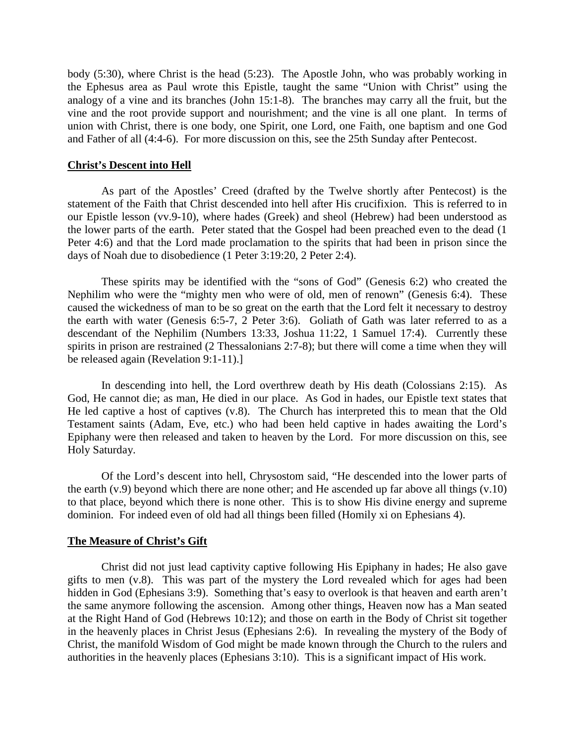body (5:30), where Christ is the head (5:23). The Apostle John, who was probably working in the Ephesus area as Paul wrote this Epistle, taught the same "Union with Christ" using the analogy of a vine and its branches (John 15:1-8). The branches may carry all the fruit, but the vine and the root provide support and nourishment; and the vine is all one plant. In terms of union with Christ, there is one body, one Spirit, one Lord, one Faith, one baptism and one God and Father of all (4:4-6). For more discussion on this, see the 25th Sunday after Pentecost.

#### **Christ's Descent into Hell**

As part of the Apostles' Creed (drafted by the Twelve shortly after Pentecost) is the statement of the Faith that Christ descended into hell after His crucifixion. This is referred to in our Epistle lesson (vv.9-10), where hades (Greek) and sheol (Hebrew) had been understood as the lower parts of the earth. Peter stated that the Gospel had been preached even to the dead (1 Peter 4:6) and that the Lord made proclamation to the spirits that had been in prison since the days of Noah due to disobedience (1 Peter 3:19:20, 2 Peter 2:4).

These spirits may be identified with the "sons of God" (Genesis 6:2) who created the Nephilim who were the "mighty men who were of old, men of renown" (Genesis 6:4). These caused the wickedness of man to be so great on the earth that the Lord felt it necessary to destroy the earth with water (Genesis 6:5-7, 2 Peter 3:6). Goliath of Gath was later referred to as a descendant of the Nephilim (Numbers 13:33, Joshua 11:22, 1 Samuel 17:4). Currently these spirits in prison are restrained (2 Thessalonians 2:7-8); but there will come a time when they will be released again (Revelation 9:1-11).]

In descending into hell, the Lord overthrew death by His death (Colossians 2:15). As God, He cannot die; as man, He died in our place. As God in hades, our Epistle text states that He led captive a host of captives (v.8). The Church has interpreted this to mean that the Old Testament saints (Adam, Eve, etc.) who had been held captive in hades awaiting the Lord's Epiphany were then released and taken to heaven by the Lord. For more discussion on this, see Holy Saturday.

Of the Lord's descent into hell, Chrysostom said, "He descended into the lower parts of the earth (v.9) beyond which there are none other; and He ascended up far above all things (v.10) to that place, beyond which there is none other. This is to show His divine energy and supreme dominion. For indeed even of old had all things been filled (Homily xi on Ephesians 4).

#### **The Measure of Christ's Gift**

Christ did not just lead captivity captive following His Epiphany in hades; He also gave gifts to men (v.8). This was part of the mystery the Lord revealed which for ages had been hidden in God (Ephesians 3:9). Something that's easy to overlook is that heaven and earth aren't the same anymore following the ascension. Among other things, Heaven now has a Man seated at the Right Hand of God (Hebrews 10:12); and those on earth in the Body of Christ sit together in the heavenly places in Christ Jesus (Ephesians 2:6). In revealing the mystery of the Body of Christ, the manifold Wisdom of God might be made known through the Church to the rulers and authorities in the heavenly places (Ephesians 3:10). This is a significant impact of His work.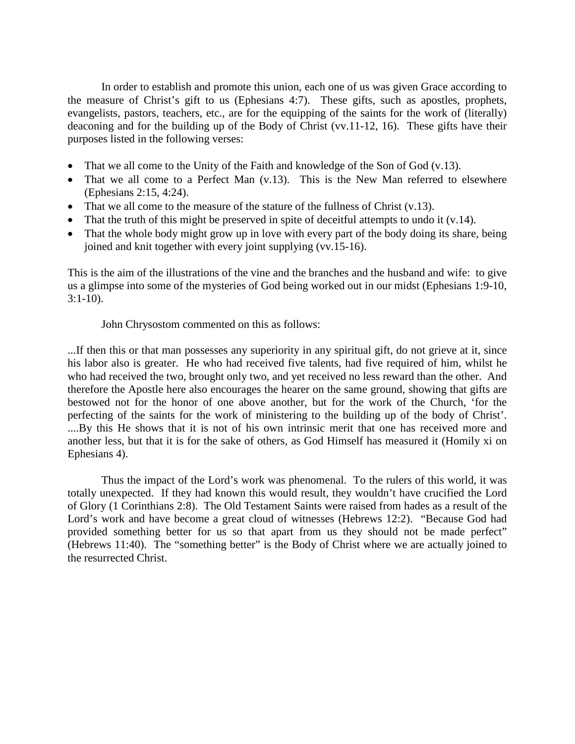In order to establish and promote this union, each one of us was given Grace according to the measure of Christ's gift to us (Ephesians 4:7). These gifts, such as apostles, prophets, evangelists, pastors, teachers, etc., are for the equipping of the saints for the work of (literally) deaconing and for the building up of the Body of Christ (vv.11-12, 16). These gifts have their purposes listed in the following verses:

- That we all come to the Unity of the Faith and knowledge of the Son of God (v.13).
- That we all come to a Perfect Man (v.13). This is the New Man referred to elsewhere (Ephesians 2:15, 4:24).
- That we all come to the measure of the stature of the fullness of Christ  $(v.13)$ .
- That the truth of this might be preserved in spite of deceitful attempts to undo it  $(v.14)$ .
- That the whole body might grow up in love with every part of the body doing its share, being joined and knit together with every joint supplying (vv.15-16).

This is the aim of the illustrations of the vine and the branches and the husband and wife: to give us a glimpse into some of the mysteries of God being worked out in our midst (Ephesians 1:9-10, 3:1-10).

John Chrysostom commented on this as follows:

...If then this or that man possesses any superiority in any spiritual gift, do not grieve at it, since his labor also is greater. He who had received five talents, had five required of him, whilst he who had received the two, brought only two, and yet received no less reward than the other. And therefore the Apostle here also encourages the hearer on the same ground, showing that gifts are bestowed not for the honor of one above another, but for the work of the Church, 'for the perfecting of the saints for the work of ministering to the building up of the body of Christ'. ....By this He shows that it is not of his own intrinsic merit that one has received more and another less, but that it is for the sake of others, as God Himself has measured it (Homily xi on Ephesians 4).

Thus the impact of the Lord's work was phenomenal. To the rulers of this world, it was totally unexpected. If they had known this would result, they wouldn't have crucified the Lord of Glory (1 Corinthians 2:8). The Old Testament Saints were raised from hades as a result of the Lord's work and have become a great cloud of witnesses (Hebrews 12:2). "Because God had provided something better for us so that apart from us they should not be made perfect" (Hebrews 11:40). The "something better" is the Body of Christ where we are actually joined to the resurrected Christ.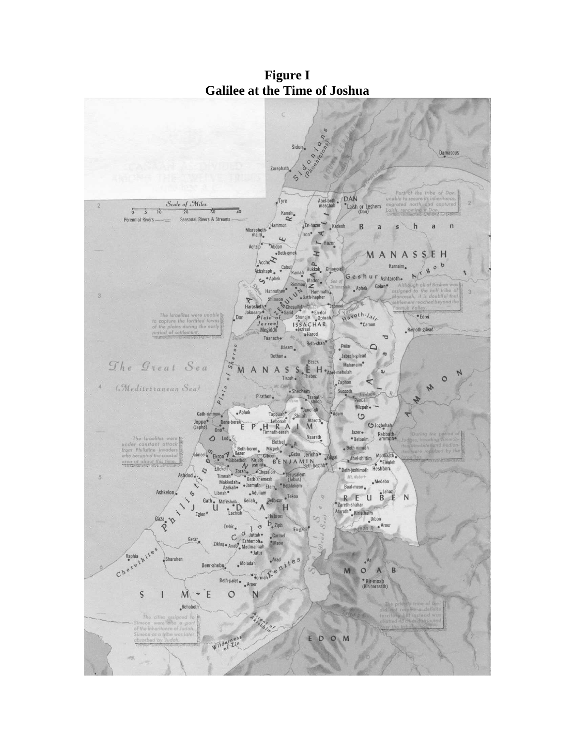

**Figure I Galilee at the Time of Joshua**